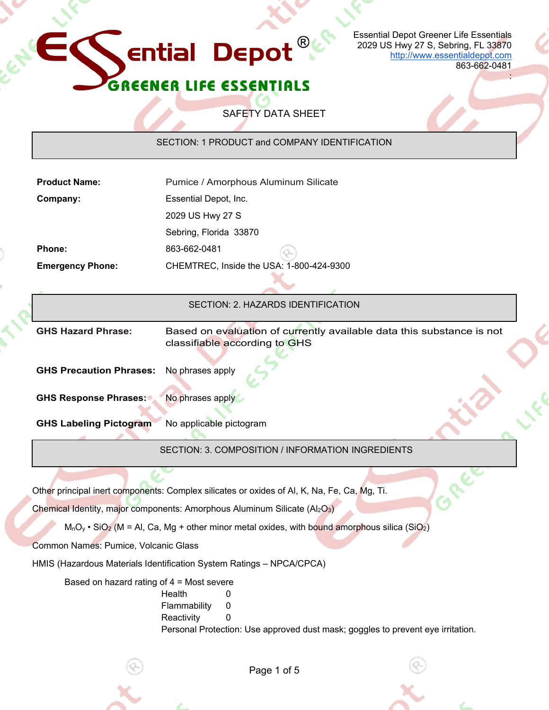

Page 1 of 5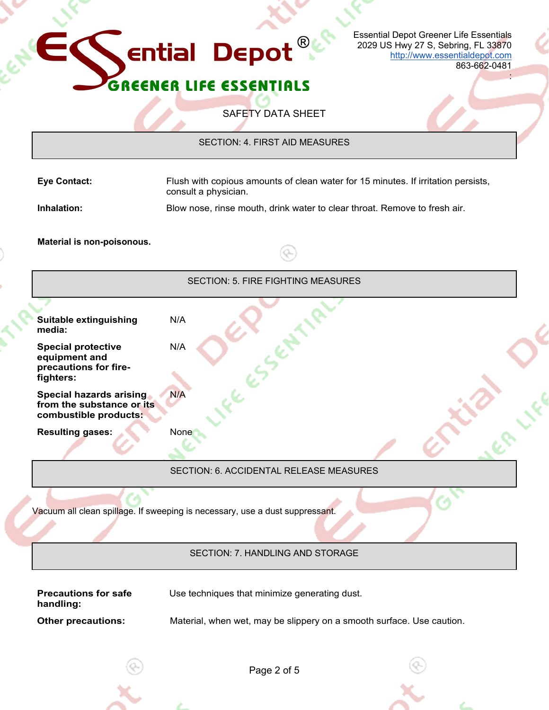

| Page 2 of 5 |
|-------------|
|             |

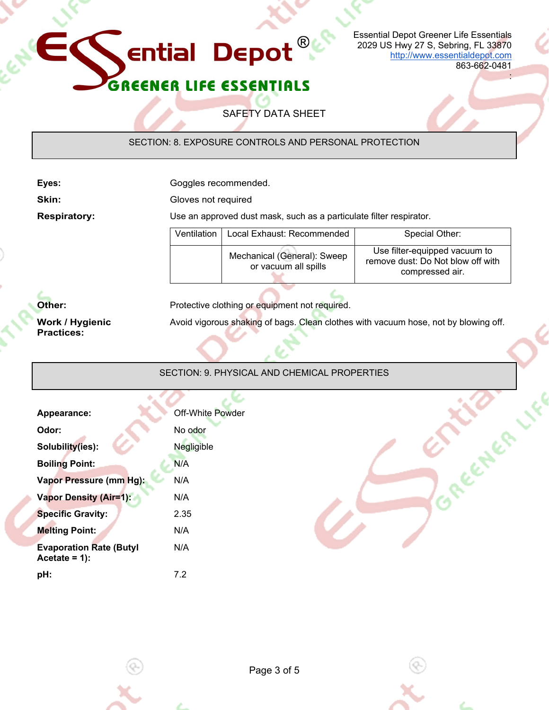

**Ential Depot** 

Essential Depot Greener Life Essentials 2029 US Hwy 27 S, Sebring, FL 33870 http://www.essentialdepot.com

863-662-0481

Concepter

:

SAFETY DATA SHEET

 $^\circledR$ 

SECTION: 8. EXPOSURE CONTROLS AND PERSONAL PROTECTION

Eyes: **Exercise Exercise Exercise Source Exercise Consumersed.** 

**Skin:** Gloves not required

**Respiratory:** Use an approved dust mask, such as a particulate filter respirator.

| Ventilation | Local Exhaust: Recommended                          | Special Other:                                                                        |
|-------------|-----------------------------------------------------|---------------------------------------------------------------------------------------|
|             | Mechanical (General): Sweep<br>or vacuum all spills | Use filter-equipped vacuum to<br>remove dust: Do Not blow off with<br>compressed air. |

**Work / Hygienic Practices:** 

**Other: Protective clothing or equipment not required.** 

Avoid vigorous shaking of bags. Clean clothes with vacuum hose, not by blowing off.

# SECTION: 9. PHYSICAL AND CHEMICAL PROPERTIES

| Appearance:                                       | Off-White Powder |
|---------------------------------------------------|------------------|
| Odor:                                             | No odor          |
| Solubility(ies):                                  | Negligible       |
| <b>Boiling Point:</b>                             | N/A              |
| Vapor Pressure (mm Hg):                           | N/A              |
| <b>Vapor Density (Air=1):</b>                     | N/A              |
| <b>Specific Gravity:</b>                          | 2.35             |
| <b>Melting Point:</b>                             | N/A              |
| <b>Evaporation Rate (Butyl</b><br>Acetate = $1$ : | N/A              |
| :bH                                               | 7.2              |

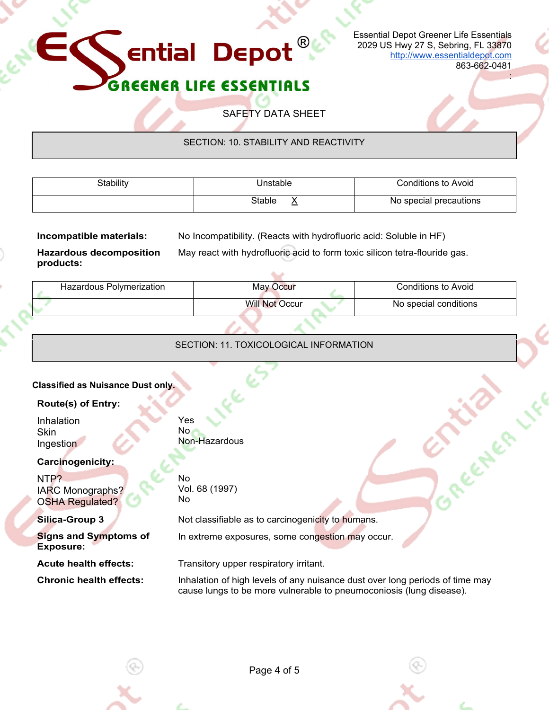## Essential Depot Greener Life Essentials 2029 US Hwy 27 S, Sebring, FL 33870 http://www.essentialdepot.com

863-662-0481

:

### ER LIFE ESSENTIALS GREE

**Ential Depot** 

SAFETY DATA SHEET

 $^{\circledR}$ 

# SECTION: 10. STABILITY AND REACTIVITY

| Stability | Unstable         | <b>Conditions to Avoid</b> |
|-----------|------------------|----------------------------|
|           | Stable<br>$\sim$ | No special precautions     |

**Incompatible materials:** No Incompatibility. (Reacts with hydrofluoric acid: Soluble in HF)

May react with hydrofluoric acid to form toxic silicon tetra-flouride gas.

**Hazardous decomposition products:**

| Hazardous Polymerization | May Occur             | Conditions to Avoid   |
|--------------------------|-----------------------|-----------------------|
|                          | <b>Will Not Occur</b> | No special conditions |

# SECTION: 11. TOXICOLOGICAL INFORMATION

| <b>Classified as Nuisance Dust only.</b> |                                                    |                                                                                                                                                     |  |  |
|------------------------------------------|----------------------------------------------------|-----------------------------------------------------------------------------------------------------------------------------------------------------|--|--|
|                                          | <b>Route(s) of Entry:</b>                          |                                                                                                                                                     |  |  |
|                                          | Inhalation<br><b>Skin</b><br>Ingestion             | Yes<br>No.<br>Non-Hazardous                                                                                                                         |  |  |
|                                          | <b>Carcinogenicity:</b>                            |                                                                                                                                                     |  |  |
|                                          | NTP?<br>IARC Monographs?<br><b>OSHA Regulated?</b> | No.<br>Vol. 68 (1997)<br>No                                                                                                                         |  |  |
|                                          | <b>Silica-Group 3</b>                              | Not classifiable as to carcinogenicity to humans.                                                                                                   |  |  |
|                                          | <b>Signs and Symptoms of</b><br>Exposure:          | In extreme exposures, some congestion may occur.                                                                                                    |  |  |
|                                          | <b>Acute health effects:</b>                       | Transitory upper respiratory irritant.                                                                                                              |  |  |
|                                          | <b>Chronic health effects:</b>                     | Inhalation of high levels of any nuisance dust over long periods of time may<br>cause lungs to be more vulnerable to pneumoconiosis (lung disease). |  |  |